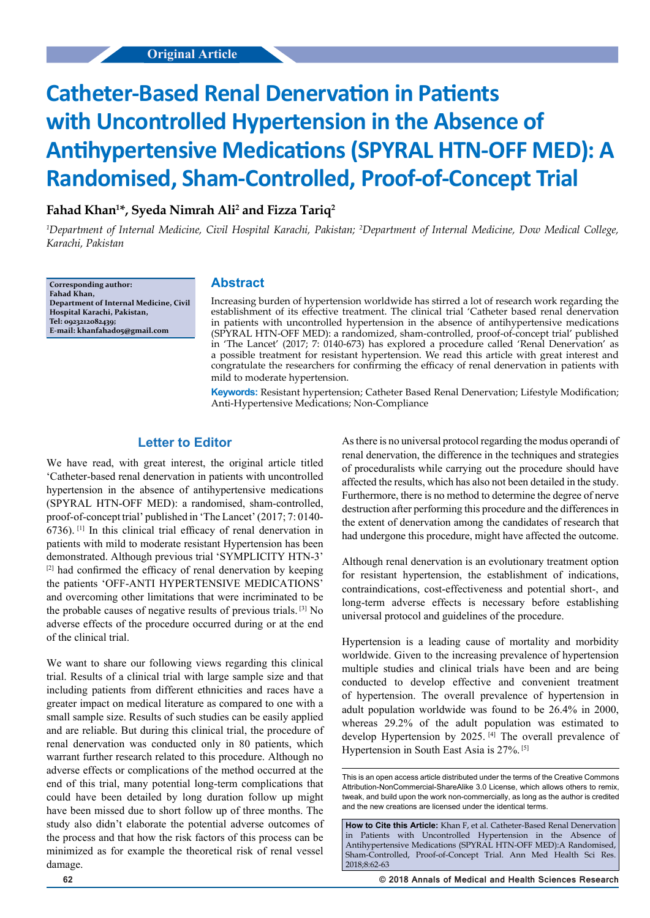# **Catheter-Based Renal Denervation in Patients with Uncontrolled Hypertension in the Absence of Antihypertensive Medications (SPYRAL HTN-OFF MED): A Randomised, Sham-Controlled, Proof-of-Concept Trial**

## **Fahad Khan1 \*, Syeda Nimrah Ali2 and Fizza Tariq2**

<sup>1</sup>Department of Internal Medicine, Civil Hospital Karachi, Pakistan; <sup>2</sup>Department of Internal Medicine, Dow Medical College, *Karachi, Pakistan*

**Corresponding author: Fahad Khan, Department of Internal Medicine, Civil Hospital Karachi, Pakistan, Tel: 0923212082439; E-mail: khanfahad05@gmail.com**

## **Abstract**

Increasing burden of hypertension worldwide has stirred a lot of research work regarding the establishment of its effective treatment. The clinical trial 'Catheter based renal denervation in patients with uncontrolled hypertension in the absence of antihypertensive medications (SPYRAL HTN-OFF MED): a randomized, sham-controlled, proof-of-concept trial' published in 'The Lancet' (2017; 7: 0140-673) has explored a procedure called 'Renal Denervation' as a possible treatment for resistant hypertension. We read this article with great interest and congratulate the researchers for confirming the efficacy of renal denervation in patients with mild to moderate hypertension.

**Keywords:** Resistant hypertension; Catheter Based Renal Denervation; Lifestyle Modification; Anti-Hypertensive Medications; Non-Compliance

#### **Letter to Editor**

We have read, with great interest, the original article titled 'Catheter-based renal denervation in patients with uncontrolled hypertension in the absence of antihypertensive medications (SPYRAL HTN-OFF MED): a randomised, sham-controlled, proof-of-concept trial' published in 'The Lancet' (2017; 7: 0140- 6736). [1] In this clinical trial efficacy of renal denervation in patients with mild to moderate resistant Hypertension has been demonstrated. Although previous trial 'SYMPLICITY HTN-3' [2] had confirmed the efficacy of renal denervation by keeping the patients 'OFF-ANTI HYPERTENSIVE MEDICATIONS' and overcoming other limitations that were incriminated to be the probable causes of negative results of previous trials. [3] No adverse effects of the procedure occurred during or at the end of the clinical trial.

We want to share our following views regarding this clinical trial. Results of a clinical trial with large sample size and that including patients from different ethnicities and races have a greater impact on medical literature as compared to one with a small sample size. Results of such studies can be easily applied and are reliable. But during this clinical trial, the procedure of renal denervation was conducted only in 80 patients, which warrant further research related to this procedure. Although no adverse effects or complications of the method occurred at the end of this trial, many potential long-term complications that could have been detailed by long duration follow up might have been missed due to short follow up of three months. The study also didn't elaborate the potential adverse outcomes of the process and that how the risk factors of this process can be minimized as for example the theoretical risk of renal vessel damage.

As there is no universal protocol regarding the modus operandi of renal denervation, the difference in the techniques and strategies of proceduralists while carrying out the procedure should have affected the results, which has also not been detailed in the study. Furthermore, there is no method to determine the degree of nerve destruction after performing this procedure and the differences in the extent of denervation among the candidates of research that had undergone this procedure, might have affected the outcome.

Although renal denervation is an evolutionary treatment option for resistant hypertension, the establishment of indications, contraindications, cost-effectiveness and potential short-, and long-term adverse effects is necessary before establishing universal protocol and guidelines of the procedure.

Hypertension is a leading cause of mortality and morbidity worldwide. Given to the increasing prevalence of hypertension multiple studies and clinical trials have been and are being conducted to develop effective and convenient treatment of hypertension. The overall prevalence of hypertension in adult population worldwide was found to be 26.4% in 2000, whereas 29.2% of the adult population was estimated to develop Hypertension by 2025. [4] The overall prevalence of Hypertension in South East Asia is 27%. [5]

This is an open access article distributed under the terms of the Creative Commons Attribution‑NonCommercial‑ShareAlike 3.0 License, which allows others to remix, tweak, and build upon the work non‑commercially, as long as the author is credited and the new creations are licensed under the identical terms.

**How to Cite this Article:** Khan F, et al. Catheter-Based Renal Denervation in Patients with Uncontrolled Hypertension in the Absence of Antihypertensive Medications (SPYRAL HTN-OFF MED):A Randomised, Sham-Controlled, Proof-of-Concept Trial. Ann Med Health Sci Res. 2018;8:62-63